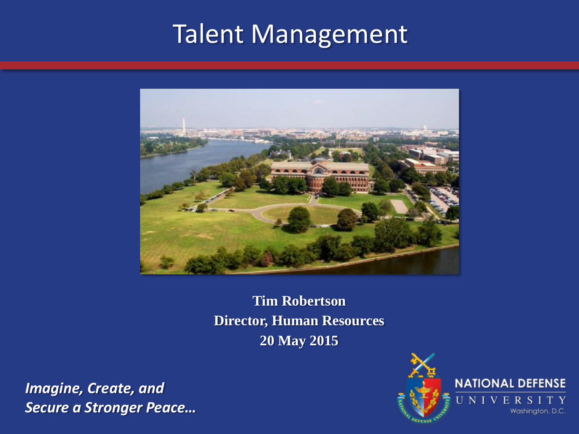## Talent Management



**Tim Robertson Director, Human Resources 20 May 2015**

*Imagine, Create, and Secure a Stronger Peace…*

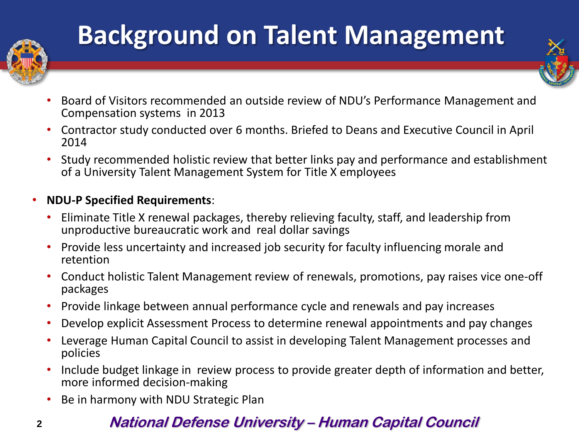

# **Background on Talent Management**

- Board of Visitors recommended an outside review of NDU's Performance Management and Compensation systems in 2013
- Contractor study conducted over 6 months. Briefed to Deans and Executive Council in April 2014
- Study recommended holistic review that better links pay and performance and establishment of a University Talent Management System for Title X employees
- **NDU-P Specified Requirements**:
	- Eliminate Title X renewal packages, thereby relieving faculty, staff, and leadership from unproductive bureaucratic work and real dollar savings
	- Provide less uncertainty and increased job security for faculty influencing morale and retention
	- Conduct holistic Talent Management review of renewals, promotions, pay raises vice one-off packages
	- Provide linkage between annual performance cycle and renewals and pay increases
	- Develop explicit Assessment Process to determine renewal appointments and pay changes
	- Leverage Human Capital Council to assist in developing Talent Management processes and policies
	- Include budget linkage in review process to provide greater depth of information and better, more informed decision-making
	- Be in harmony with NDU Strategic Plan

### **2 2 National Defense University – Human Capital Council**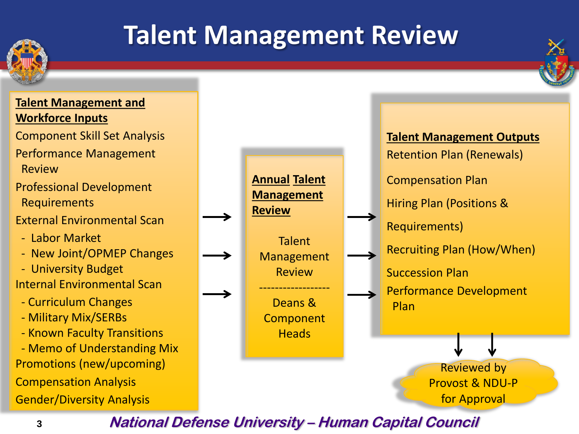

# **Talent Management Review**



Component Skill Set Analysis

Performance Management Review

Professional Development Requirements

External Environmental Scan

- Labor Market
- New Joint/OPMEP Changes

 - University Budget Internal Environmental Scan

- Curriculum Changes
- Military Mix/SERBs
- Known Faculty Transitions

 - Memo of Understanding Mix Promotions (new/upcoming) Compensation Analysis Gender/Diversity Analysis



**3 3 National Defense University – Human Capital Council**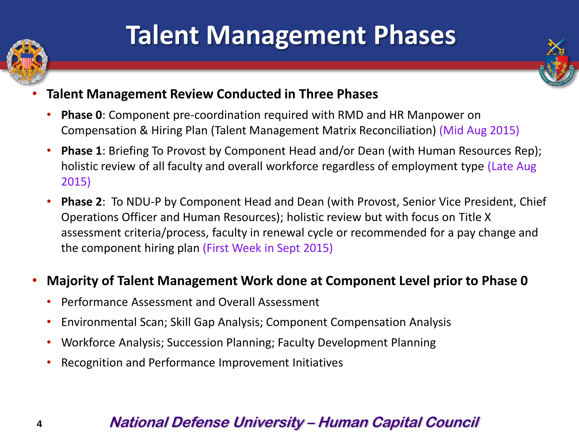

# **Talent Management Phases**



- **Talent Management Review Conducted in Three Phases**
	- **Phase 0**: Component pre-coordination required with RMD and HR Manpower on Compensation & Hiring Plan (Talent Management Matrix Reconciliation) (Mid Aug 2015)
	- **Phase 1**: Briefing To Provost by Component Head and/or Dean (with Human Resources Rep); holistic review of all faculty and overall workforce regardless of employment type (Late Aug 2015)
	- **Phase 2**: To NDU-P by Component Head and Dean (with Provost, Senior Vice President, Chief Operations Officer and Human Resources); holistic review but with focus on Title X assessment criteria/process, faculty in renewal cycle or recommended for a pay change and the component hiring plan (First Week in Sept 2015)

#### • **Majority of Talent Management Work done at Component Level prior to Phase 0**

- Performance Assessment and Overall Assessment
- Environmental Scan; Skill Gap Analysis; Component Compensation Analysis
- Workforce Analysis; Succession Planning; Faculty Development Planning
- Recognition and Performance Improvement Initiatives

### **4 4 National Defense University – Human Capital Council**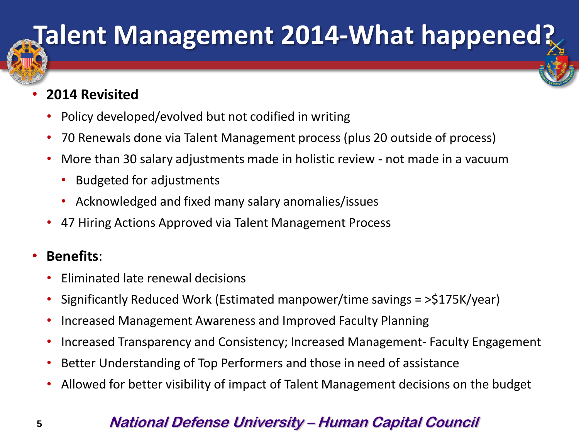# **Talent Management 2014-What happened?**

#### • **2014 Revisited**

- Policy developed/evolved but not codified in writing
- 70 Renewals done via Talent Management process (plus 20 outside of process)
- More than 30 salary adjustments made in holistic review not made in a vacuum
	- Budgeted for adjustments
	- Acknowledged and fixed many salary anomalies/issues
- 47 Hiring Actions Approved via Talent Management Process

### • **Benefits**:

- Eliminated late renewal decisions
- Significantly Reduced Work (Estimated manpower/time savings = >\$175K/year)
- Increased Management Awareness and Improved Faculty Planning
- Increased Transparency and Consistency; Increased Management- Faculty Engagement
- Better Understanding of Top Performers and those in need of assistance
- Allowed for better visibility of impact of Talent Management decisions on the budget

### **5 5 National Defense University – Human Capital Council**